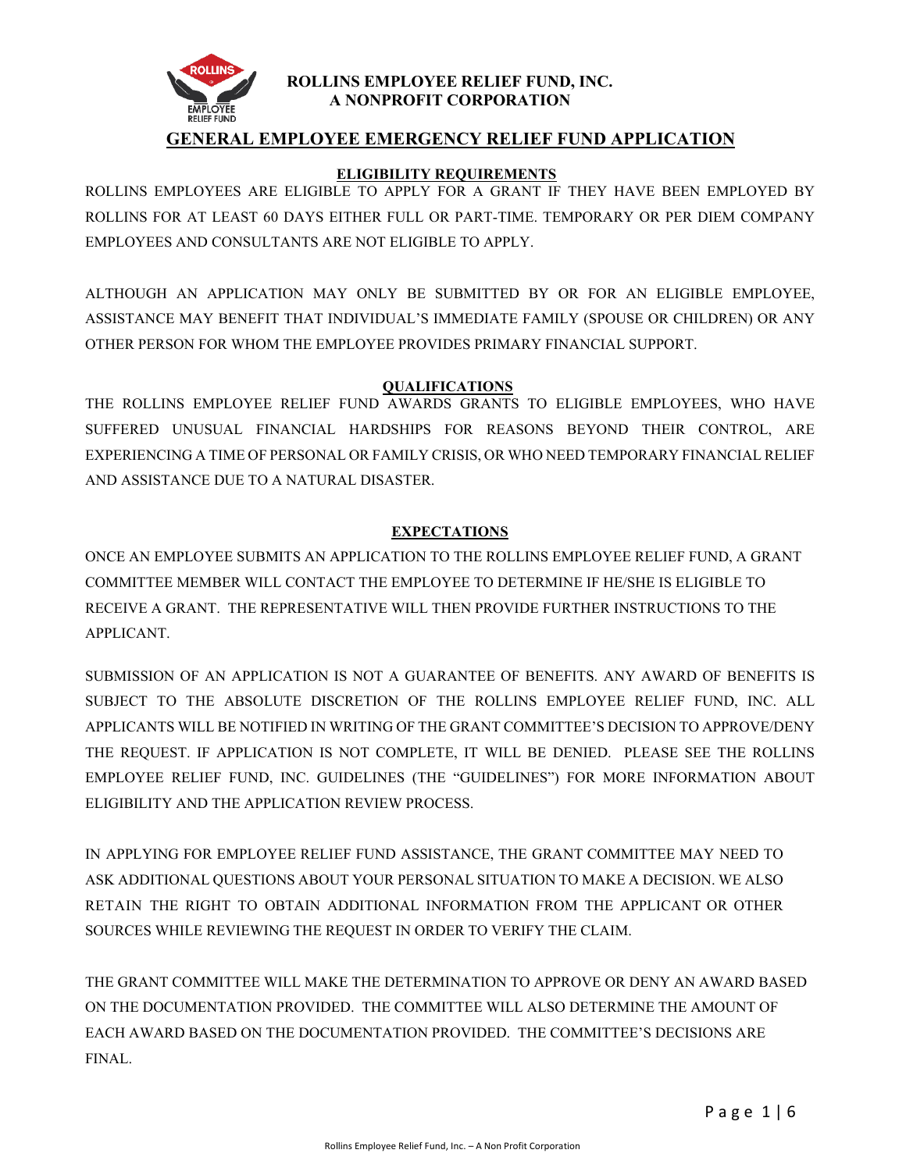

#### **ROLLINS EMPLOYEE RELIEF FUND, INC. A NONPROFIT CORPORATION**

# **GENERAL EMPLOYEE EMERGENCY RELIEF FUND APPLICATION**

#### **ELIGIBILITY REQUIREMENTS**

ROLLINS EMPLOYEES ARE ELIGIBLE TO APPLY FOR A GRANT IF THEY HAVE BEEN EMPLOYED BY ROLLINS FOR AT LEAST 60 DAYS EITHER FULL OR PART-TIME. TEMPORARY OR PER DIEM COMPANY EMPLOYEES AND CONSULTANTS ARE NOT ELIGIBLE TO APPLY.

ALTHOUGH AN APPLICATION MAY ONLY BE SUBMITTED BY OR FOR AN ELIGIBLE EMPLOYEE, ASSISTANCE MAY BENEFIT THAT INDIVIDUAL'S IMMEDIATE FAMILY (SPOUSE OR CHILDREN) OR ANY OTHER PERSON FOR WHOM THE EMPLOYEE PROVIDES PRIMARY FINANCIAL SUPPORT.

## **QUALIFICATIONS**

THE ROLLINS EMPLOYEE RELIEF FUND AWARDS GRANTS TO ELIGIBLE EMPLOYEES, WHO HAVE SUFFERED UNUSUAL FINANCIAL HARDSHIPS FOR REASONS BEYOND THEIR CONTROL, ARE EXPERIENCING A TIME OF PERSONAL OR FAMILY CRISIS, OR WHO NEED TEMPORARY FINANCIAL RELIEF AND ASSISTANCE DUE TO A NATURAL DISASTER.

## **EXPECTATIONS**

ONCE AN EMPLOYEE SUBMITS AN APPLICATION TO THE ROLLINS EMPLOYEE RELIEF FUND, A GRANT COMMITTEE MEMBER WILL CONTACT THE EMPLOYEE TO DETERMINE IF HE/SHE IS ELIGIBLE TO RECEIVE A GRANT. THE REPRESENTATIVE WILL THEN PROVIDE FURTHER INSTRUCTIONS TO THE APPLICANT.

SUBMISSION OF AN APPLICATION IS NOT A GUARANTEE OF BENEFITS. ANY AWARD OF BENEFITS IS SUBJECT TO THE ABSOLUTE DISCRETION OF THE ROLLINS EMPLOYEE RELIEF FUND, INC. ALL APPLICANTS WILL BE NOTIFIED IN WRITING OF THE GRANT COMMITTEE'S DECISION TO APPROVE/DENY THE REQUEST. IF APPLICATION IS NOT COMPLETE, IT WILL BE DENIED. PLEASE SEE THE ROLLINS EMPLOYEE RELIEF FUND, INC. GUIDELINES (THE "GUIDELINES") FOR MORE INFORMATION ABOUT ELIGIBILITY AND THE APPLICATION REVIEW PROCESS.

IN APPLYING FOR EMPLOYEE RELIEF FUND ASSISTANCE, THE GRANT COMMITTEE MAY NEED TO ASK ADDITIONAL QUESTIONS ABOUT YOUR PERSONAL SITUATION TO MAKE A DECISION. WE ALSO RETAIN THE RIGHT TO OBTAIN ADDITIONAL INFORMATION FROM THE APPLICANT OR OTHER SOURCES WHILE REVIEWING THE REQUEST IN ORDER TO VERIFY THE CLAIM.

THE GRANT COMMITTEE WILL MAKE THE DETERMINATION TO APPROVE OR DENY AN AWARD BASED ON THE DOCUMENTATION PROVIDED. THE COMMITTEE WILL ALSO DETERMINE THE AMOUNT OF EACH AWARD BASED ON THE DOCUMENTATION PROVIDED. THE COMMITTEE'S DECISIONS ARE FINAL.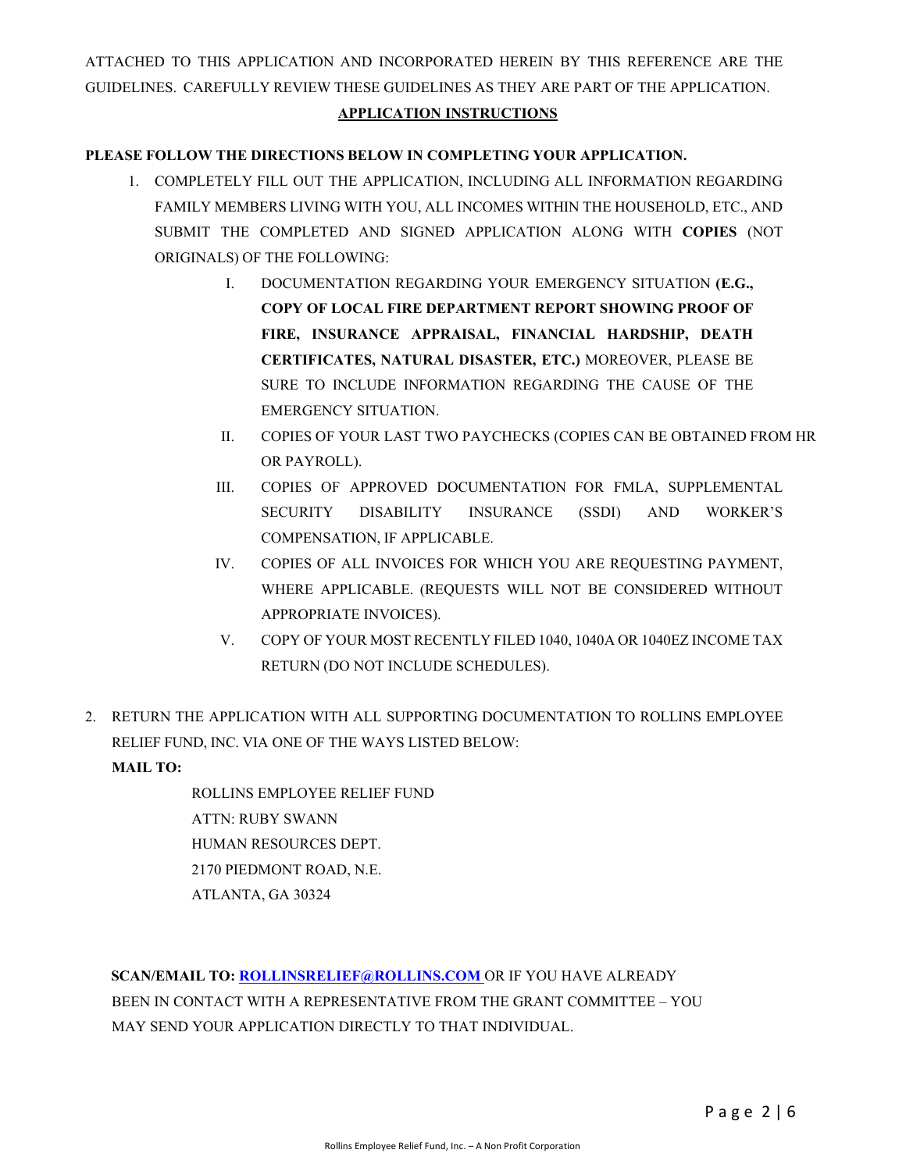ATTACHED TO THIS APPLICATION AND INCORPORATED HEREIN BY THIS REFERENCE ARE THE GUIDELINES. CAREFULLY REVIEW THESE GUIDELINES AS THEY ARE PART OF THE APPLICATION.

#### **APPLICATION INSTRUCTIONS**

#### **PLEASE FOLLOW THE DIRECTIONS BELOW IN COMPLETING YOUR APPLICATION.**

- 1. COMPLETELY FILL OUT THE APPLICATION, INCLUDING ALL INFORMATION REGARDING FAMILY MEMBERS LIVING WITH YOU, ALL INCOMES WITHIN THE HOUSEHOLD, ETC., AND SUBMIT THE COMPLETED AND SIGNED APPLICATION ALONG WITH **COPIES** (NOT ORIGINALS) OF THE FOLLOWING:
	- I. DOCUMENTATION REGARDING YOUR EMERGENCY SITUATION **(E.G., COPY OF LOCAL FIRE DEPARTMENT REPORT SHOWING PROOF OF FIRE, INSURANCE APPRAISAL, FINANCIAL HARDSHIP, DEATH CERTIFICATES, NATURAL DISASTER, ETC.)** MOREOVER, PLEASE BE SURE TO INCLUDE INFORMATION REGARDING THE CAUSE OF THE EMERGENCY SITUATION.
	- II. COPIES OF YOUR LAST TWO PAYCHECKS (COPIES CAN BE OBTAINED FROM HR OR PAYROLL).
	- III. COPIES OF APPROVED DOCUMENTATION FOR FMLA, SUPPLEMENTAL SECURITY DISABILITY INSURANCE (SSDI) AND WORKER'S COMPENSATION, IF APPLICABLE.
	- IV. COPIES OF ALL INVOICES FOR WHICH YOU ARE REQUESTING PAYMENT, WHERE APPLICABLE. (REQUESTS WILL NOT BE CONSIDERED WITHOUT APPROPRIATE INVOICES).
	- V. COPY OF YOUR MOST RECENTLY FILED 1040, 1040A OR 1040EZ INCOME TAX RETURN (DO NOT INCLUDE SCHEDULES).
- 2. RETURN THE APPLICATION WITH ALL SUPPORTING DOCUMENTATION TO ROLLINS EMPLOYEE RELIEF FUND, INC. VIA ONE OF THE WAYS LISTED BELOW:

#### **MAIL TO:**

ROLLINS EMPLOYEE RELIEF FUND ATTN: RUBY SWANN HUMAN RESOURCES DEPT. 2170 PIEDMONT ROAD, N.E. ATLANTA, GA 30324

 **SCAN/EMAIL TO[: ROLLINSRELIEF@ROLLINS.COM](mailto:RollinsRelief@rollins.com)** OR IF YOU HAVE ALREADY BEEN IN CONTACT WITH A REPRESENTATIVE FROM THE GRANT COMMITTEE – YOU MAY SEND YOUR APPLICATION DIRECTLY TO THAT INDIVIDUAL.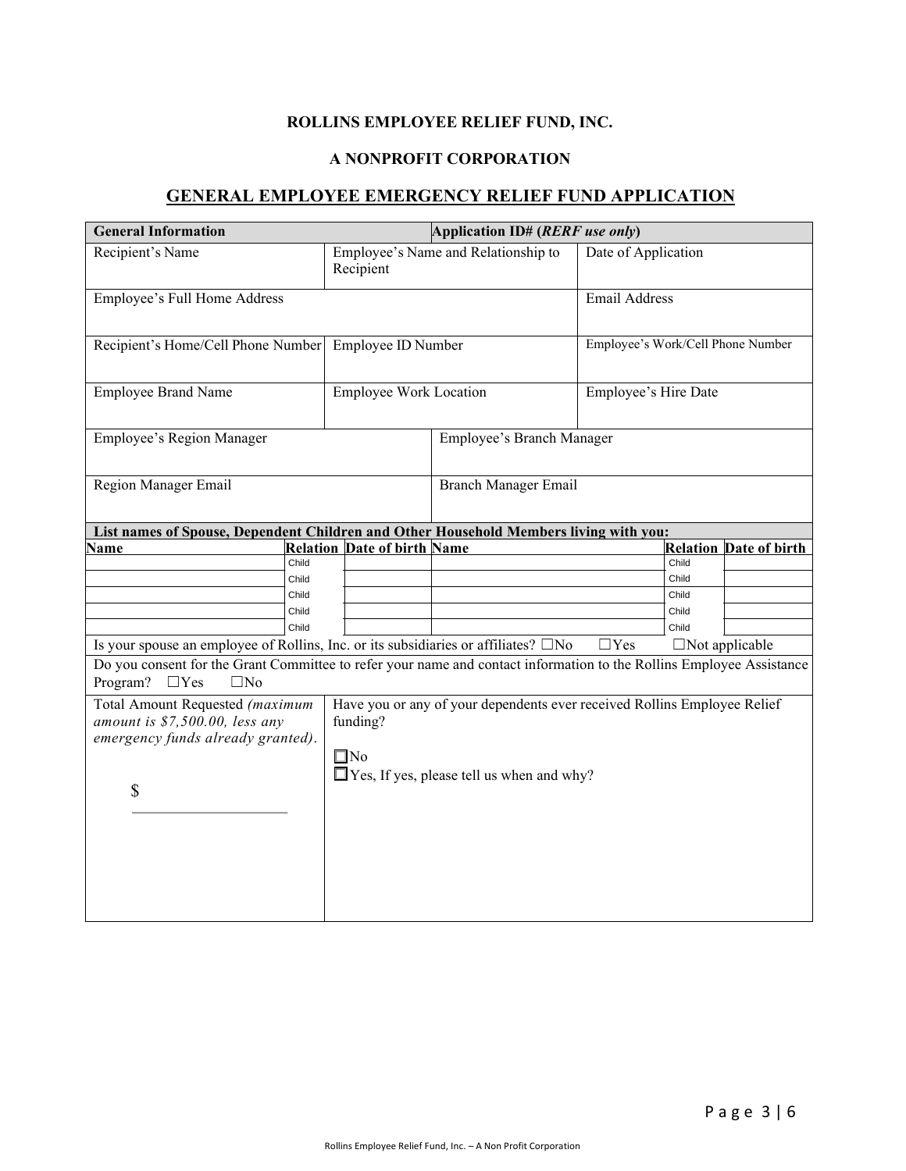## **ROLLINS EMPLOYEE RELIEF FUND, INC.**

#### **A NONPROFIT CORPORATION**

## **GENERAL EMPLOYEE EMERGENCY RELIEF FUND APPLICATION**

| <b>General Information</b>                                                                                                                                     | Application ID# (RERF use only)                                                      |                                                  |                                   |       |                               |  |
|----------------------------------------------------------------------------------------------------------------------------------------------------------------|--------------------------------------------------------------------------------------|--------------------------------------------------|-----------------------------------|-------|-------------------------------|--|
| Recipient's Name                                                                                                                                               | Recipient                                                                            | Employee's Name and Relationship to              | Date of Application               |       |                               |  |
| Employee's Full Home Address                                                                                                                                   |                                                                                      |                                                  | Email Address                     |       |                               |  |
| Recipient's Home/Cell Phone Number                                                                                                                             | Employee ID Number                                                                   |                                                  | Employee's Work/Cell Phone Number |       |                               |  |
| <b>Employee Brand Name</b>                                                                                                                                     | <b>Employee Work Location</b>                                                        |                                                  | Employee's Hire Date              |       |                               |  |
| Employee's Region Manager                                                                                                                                      |                                                                                      | Employee's Branch Manager                        |                                   |       |                               |  |
| Region Manager Email                                                                                                                                           |                                                                                      |                                                  | Branch Manager Email              |       |                               |  |
| List names of Spouse, Dependent Children and Other Household Members living with you:                                                                          |                                                                                      |                                                  |                                   |       |                               |  |
| Name                                                                                                                                                           | <b>Relation Date of birth Name</b>                                                   |                                                  |                                   |       | <b>Relation Date of birth</b> |  |
| Child                                                                                                                                                          |                                                                                      |                                                  |                                   | Child |                               |  |
| Child                                                                                                                                                          |                                                                                      |                                                  |                                   | Child |                               |  |
| Child                                                                                                                                                          |                                                                                      |                                                  |                                   | Child |                               |  |
| Child                                                                                                                                                          |                                                                                      |                                                  |                                   | Child |                               |  |
| Child                                                                                                                                                          |                                                                                      |                                                  |                                   | Child |                               |  |
| Is your spouse an employee of Rollins, Inc. or its subsidiaries or affiliates? □No                                                                             |                                                                                      |                                                  | $\Box$ Yes                        |       | $\Box$ Not applicable         |  |
| Do you consent for the Grant Committee to refer your name and contact information to the Rollins Employee Assistance<br>Program?<br>$\Box$ Yes<br>$\square$ No |                                                                                      |                                                  |                                   |       |                               |  |
| Total Amount Requested (maximum<br>amount is \$7,500.00, less any                                                                                              | Have you or any of your dependents ever received Rollins Employee Relief<br>funding? |                                                  |                                   |       |                               |  |
| emergency funds already granted).                                                                                                                              | $\square$ No                                                                         | $\Box$ Yes, If yes, please tell us when and why? |                                   |       |                               |  |
| \$                                                                                                                                                             |                                                                                      |                                                  |                                   |       |                               |  |
|                                                                                                                                                                |                                                                                      |                                                  |                                   |       |                               |  |
|                                                                                                                                                                |                                                                                      |                                                  |                                   |       |                               |  |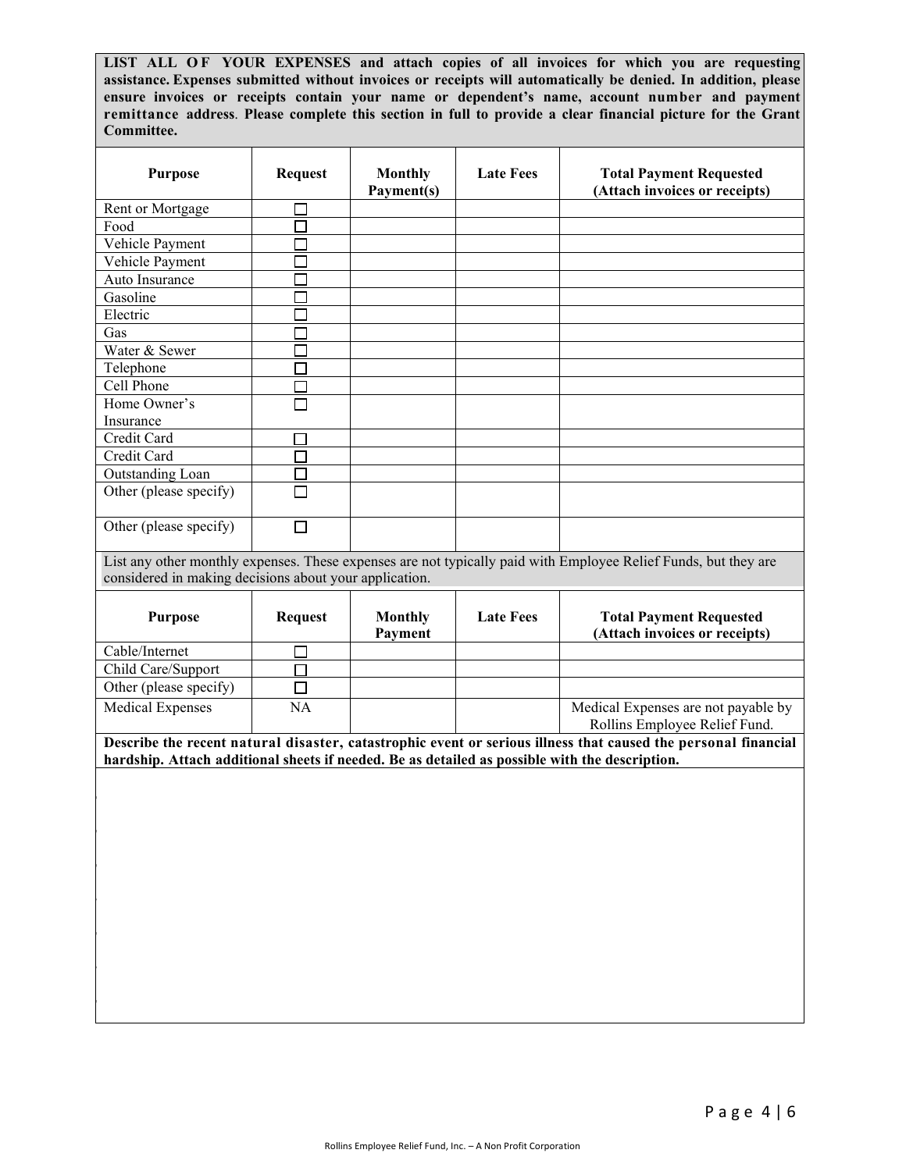**LIST ALL OF YOUR EXPENSES and attach copies of all invoices for which you are requesting assistance. Expenses submitted without invoices or receipts will automatically be denied. In addition, please ensure invoices or receipts contain your name or dependent's name, account number and payment remittance address**. **Please complete this section in full to provide a clear financial picture for the Grant Committee.**

| <b>Purpose</b>                                                                                                                                                                                                   | <b>Request</b> | <b>Monthly</b><br>Payment(s) | <b>Late Fees</b> | <b>Total Payment Requested</b><br>(Attach invoices or receipts)      |  |
|------------------------------------------------------------------------------------------------------------------------------------------------------------------------------------------------------------------|----------------|------------------------------|------------------|----------------------------------------------------------------------|--|
| Rent or Mortgage                                                                                                                                                                                                 |                |                              |                  |                                                                      |  |
| Food                                                                                                                                                                                                             |                |                              |                  |                                                                      |  |
| Vehicle Payment                                                                                                                                                                                                  |                |                              |                  |                                                                      |  |
| Vehicle Payment                                                                                                                                                                                                  |                |                              |                  |                                                                      |  |
| Auto Insurance                                                                                                                                                                                                   |                |                              |                  |                                                                      |  |
| Gasoline                                                                                                                                                                                                         |                |                              |                  |                                                                      |  |
| Electric                                                                                                                                                                                                         | $\Box$         |                              |                  |                                                                      |  |
| Gas                                                                                                                                                                                                              |                |                              |                  |                                                                      |  |
| Water & Sewer                                                                                                                                                                                                    | П              |                              |                  |                                                                      |  |
| Telephone                                                                                                                                                                                                        | П              |                              |                  |                                                                      |  |
| Cell Phone                                                                                                                                                                                                       | П              |                              |                  |                                                                      |  |
| Home Owner's                                                                                                                                                                                                     | П              |                              |                  |                                                                      |  |
| Insurance                                                                                                                                                                                                        |                |                              |                  |                                                                      |  |
| Credit Card                                                                                                                                                                                                      | $\Box$         |                              |                  |                                                                      |  |
| Credit Card                                                                                                                                                                                                      | $\Box$         |                              |                  |                                                                      |  |
| Outstanding Loan                                                                                                                                                                                                 |                |                              |                  |                                                                      |  |
| Other (please specify)                                                                                                                                                                                           |                |                              |                  |                                                                      |  |
|                                                                                                                                                                                                                  |                |                              |                  |                                                                      |  |
| Other (please specify)                                                                                                                                                                                           | $\Box$         |                              |                  |                                                                      |  |
| considered in making decisions about your application.<br><b>Purpose</b>                                                                                                                                         | <b>Request</b> | <b>Monthly</b>               | <b>Late Fees</b> | <b>Total Payment Requested</b>                                       |  |
|                                                                                                                                                                                                                  |                | Payment                      |                  | (Attach invoices or receipts)                                        |  |
| Cable/Internet                                                                                                                                                                                                   | ப              |                              |                  |                                                                      |  |
| Child Care/Support                                                                                                                                                                                               | П              |                              |                  |                                                                      |  |
| Other (please specify)                                                                                                                                                                                           | $\Box$         |                              |                  |                                                                      |  |
| <b>Medical Expenses</b>                                                                                                                                                                                          | <b>NA</b>      |                              |                  | Medical Expenses are not payable by<br>Rollins Employee Relief Fund. |  |
| Describe the recent natural disaster, catastrophic event or serious illness that caused the personal financial<br>hardship. Attach additional sheets if needed. Be as detailed as possible with the description. |                |                              |                  |                                                                      |  |
|                                                                                                                                                                                                                  |                |                              |                  |                                                                      |  |
|                                                                                                                                                                                                                  |                |                              |                  |                                                                      |  |
|                                                                                                                                                                                                                  |                |                              |                  |                                                                      |  |
|                                                                                                                                                                                                                  |                |                              |                  |                                                                      |  |
|                                                                                                                                                                                                                  |                |                              |                  |                                                                      |  |
|                                                                                                                                                                                                                  |                |                              |                  |                                                                      |  |
|                                                                                                                                                                                                                  |                |                              |                  |                                                                      |  |
|                                                                                                                                                                                                                  |                |                              |                  |                                                                      |  |
|                                                                                                                                                                                                                  |                |                              |                  |                                                                      |  |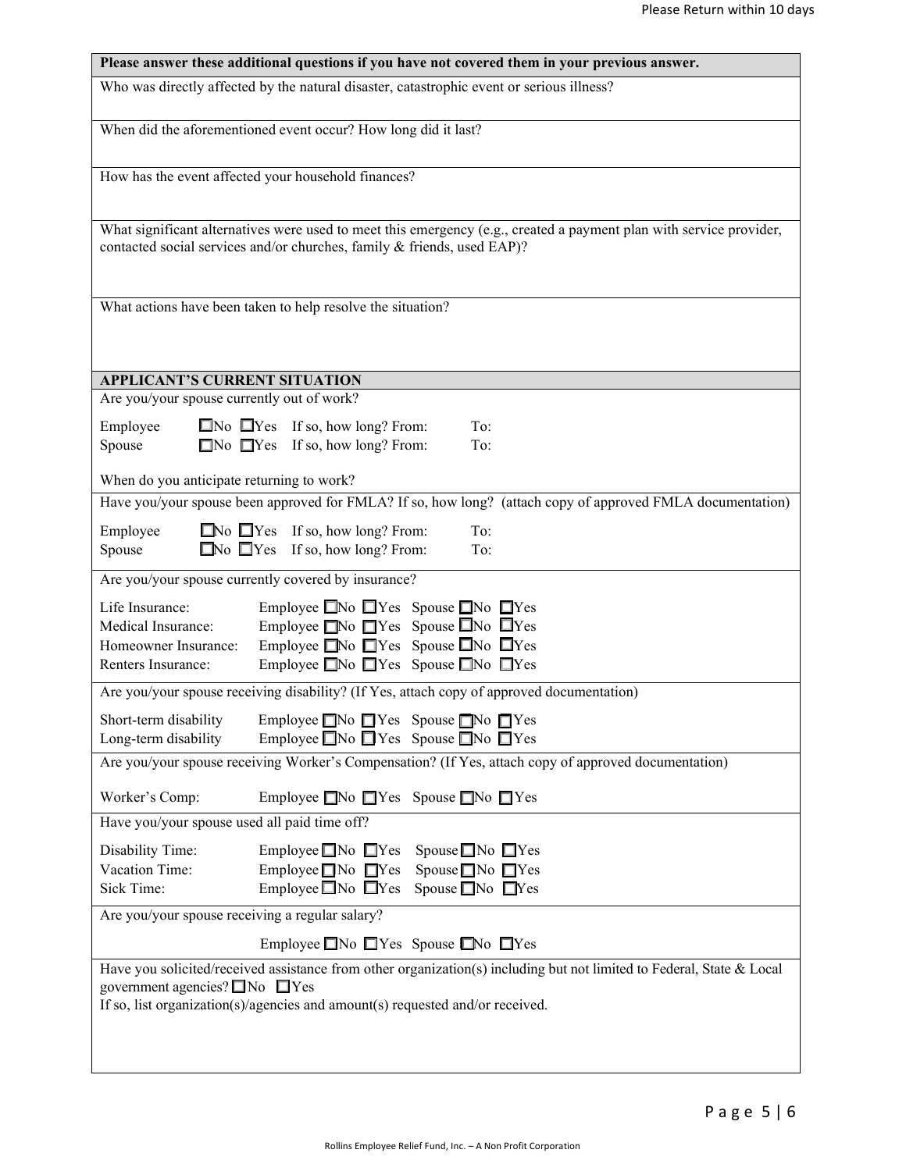|                                                                                     | Please answer these additional questions if you have not covered them in your previous answer.                                                                                                         |
|-------------------------------------------------------------------------------------|--------------------------------------------------------------------------------------------------------------------------------------------------------------------------------------------------------|
|                                                                                     | Who was directly affected by the natural disaster, catastrophic event or serious illness?                                                                                                              |
|                                                                                     | When did the aforementioned event occur? How long did it last?                                                                                                                                         |
| How has the event affected your household finances?                                 |                                                                                                                                                                                                        |
|                                                                                     | What significant alternatives were used to meet this emergency (e.g., created a payment plan with service provider,<br>contacted social services and/or churches, family & friends, used EAP)?         |
|                                                                                     | What actions have been taken to help resolve the situation?                                                                                                                                            |
| APPLICANT'S CURRENT SITUATION                                                       |                                                                                                                                                                                                        |
| Are you/your spouse currently out of work?                                          |                                                                                                                                                                                                        |
| Employee<br>Spouse                                                                  | $\Box$ No $\Box$ Yes If so, how long? From:<br>To:<br>$\Box$ No $\Box$ Yes If so, how long? From:<br>To:                                                                                               |
| When do you anticipate returning to work?                                           |                                                                                                                                                                                                        |
|                                                                                     | Have you/your spouse been approved for FMLA? If so, how long? (attach copy of approved FMLA documentation)                                                                                             |
| Employee<br>Spouse                                                                  | $\Box$ No $\Box$ Yes If so, how long? From:<br>To:<br>$\Box$ No $\Box$ Yes If so, how long? From:<br>To:                                                                                               |
| Are you/your spouse currently covered by insurance?                                 |                                                                                                                                                                                                        |
| Life Insurance:<br>Medical Insurance:<br>Homeowner Insurance:<br>Renters Insurance: | Employee $\Box$ No $\Box$ Yes Spouse $\Box$ No $\Box$ Yes<br>Employee $\Box$ No $\Box$ Yes Spouse $\Box$ No $\Box$ Yes<br>Employee No TYes Spouse No TYes<br>Employee ■No ■Yes Spouse ■No ■Yes         |
|                                                                                     | Are you/your spouse receiving disability? (If Yes, attach copy of approved documentation)                                                                                                              |
| Short-term disability<br>Long-term disability                                       | Employee ■No ■Yes Spouse ■No ■Yes<br>Employee $\Box$ No $\Box$ Yes Spouse $\Box$ No $\Box$ Yes                                                                                                         |
|                                                                                     | Are you/your spouse receiving Worker's Compensation? (If Yes, attach copy of approved documentation)                                                                                                   |
| Worker's Comp:                                                                      | Employee ■No ■Yes Spouse ■No ■Yes                                                                                                                                                                      |
| Have you/your spouse used all paid time off?                                        |                                                                                                                                                                                                        |
| Disability Time:<br>Vacation Time:<br>Sick Time:                                    | Employee $\Box$ No $\Box$ Yes Spouse $\Box$ No $\Box$ Yes<br>Spouse ■No ■Yes<br>Employee $\Box$ No $\Box$ Yes<br>Employee $\Box$ No $\Box$ Yes<br>Spouse ■No ■Yes                                      |
| Are you/your spouse receiving a regular salary?                                     |                                                                                                                                                                                                        |
|                                                                                     | Employee ■No ■Yes Spouse ■No ■Yes                                                                                                                                                                      |
| government agencies? $\Box$ No $\Box$ Yes                                           | Have you solicited/received assistance from other organization(s) including but not limited to Federal, State & Local<br>If so, list organization(s)/agencies and amount(s) requested and/or received. |